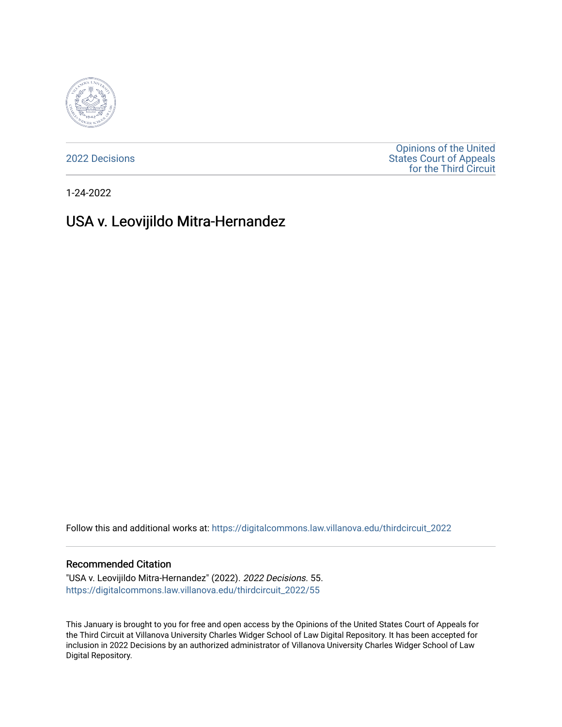

[2022 Decisions](https://digitalcommons.law.villanova.edu/thirdcircuit_2022)

[Opinions of the United](https://digitalcommons.law.villanova.edu/thirdcircuit)  [States Court of Appeals](https://digitalcommons.law.villanova.edu/thirdcircuit)  [for the Third Circuit](https://digitalcommons.law.villanova.edu/thirdcircuit) 

1-24-2022

# USA v. Leovijildo Mitra-Hernandez

Follow this and additional works at: [https://digitalcommons.law.villanova.edu/thirdcircuit\\_2022](https://digitalcommons.law.villanova.edu/thirdcircuit_2022?utm_source=digitalcommons.law.villanova.edu%2Fthirdcircuit_2022%2F55&utm_medium=PDF&utm_campaign=PDFCoverPages) 

#### Recommended Citation

"USA v. Leovijildo Mitra-Hernandez" (2022). 2022 Decisions. 55. [https://digitalcommons.law.villanova.edu/thirdcircuit\\_2022/55](https://digitalcommons.law.villanova.edu/thirdcircuit_2022/55?utm_source=digitalcommons.law.villanova.edu%2Fthirdcircuit_2022%2F55&utm_medium=PDF&utm_campaign=PDFCoverPages)

This January is brought to you for free and open access by the Opinions of the United States Court of Appeals for the Third Circuit at Villanova University Charles Widger School of Law Digital Repository. It has been accepted for inclusion in 2022 Decisions by an authorized administrator of Villanova University Charles Widger School of Law Digital Repository.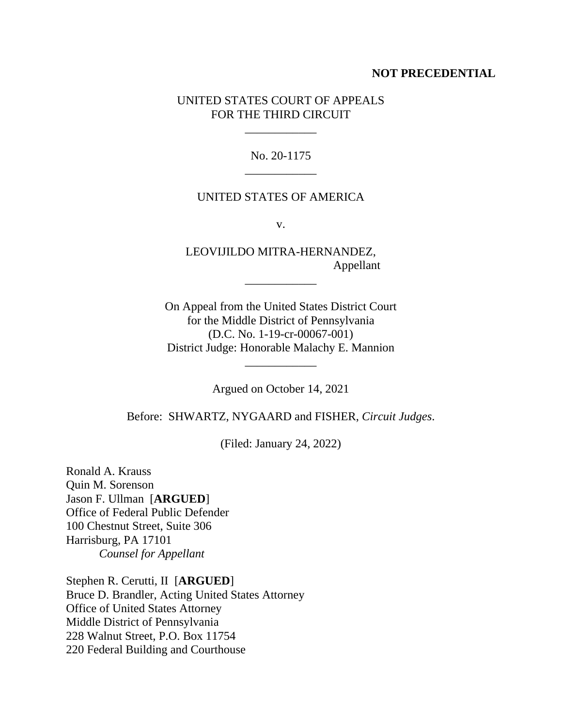### **NOT PRECEDENTIAL**

## UNITED STATES COURT OF APPEALS FOR THE THIRD CIRCUIT

\_\_\_\_\_\_\_\_\_\_\_\_

No. 20-1175 \_\_\_\_\_\_\_\_\_\_\_\_

#### UNITED STATES OF AMERICA

v.

LEOVIJILDO MITRA-HERNANDEZ, Appellant

\_\_\_\_\_\_\_\_\_\_\_\_

On Appeal from the United States District Court for the Middle District of Pennsylvania (D.C. No. 1-19-cr-00067-001) District Judge: Honorable Malachy E. Mannion

Argued on October 14, 2021

\_\_\_\_\_\_\_\_\_\_\_\_

Before: SHWARTZ, NYGAARD and FISHER, *Circuit Judges*.

(Filed: January 24, 2022)

Ronald A. Krauss Quin M. Sorenson Jason F. Ullman [**ARGUED**] Office of Federal Public Defender 100 Chestnut Street, Suite 306 Harrisburg, PA 17101 *Counsel for Appellant*

Stephen R. Cerutti, II [**ARGUED**] Bruce D. Brandler, Acting United States Attorney Office of United States Attorney Middle District of Pennsylvania 228 Walnut Street, P.O. Box 11754 220 Federal Building and Courthouse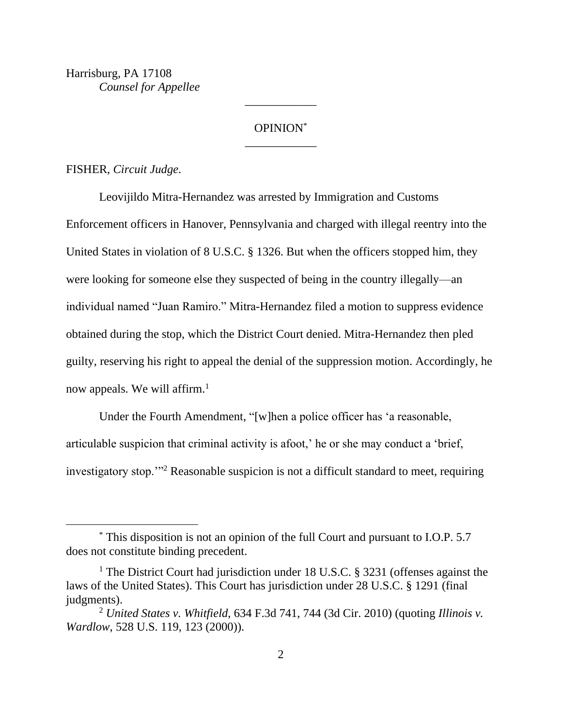Harrisburg, PA 17108 *Counsel for Appellee*

# OPINION\* \_\_\_\_\_\_\_\_\_\_\_\_

\_\_\_\_\_\_\_\_\_\_\_\_

FISHER, *Circuit Judge*.

Leovijildo Mitra-Hernandez was arrested by Immigration and Customs Enforcement officers in Hanover, Pennsylvania and charged with illegal reentry into the United States in violation of 8 U.S.C. § 1326. But when the officers stopped him, they were looking for someone else they suspected of being in the country illegally—an individual named "Juan Ramiro." Mitra-Hernandez filed a motion to suppress evidence obtained during the stop, which the District Court denied. Mitra-Hernandez then pled guilty, reserving his right to appeal the denial of the suppression motion. Accordingly, he now appeals. We will affirm.<sup>1</sup>

Under the Fourth Amendment, "[w]hen a police officer has 'a reasonable, articulable suspicion that criminal activity is afoot,' he or she may conduct a 'brief, investigatory stop.'"<sup>2</sup> Reasonable suspicion is not a difficult standard to meet, requiring

<sup>\*</sup> This disposition is not an opinion of the full Court and pursuant to I.O.P. 5.7 does not constitute binding precedent.

<sup>&</sup>lt;sup>1</sup> The District Court had jurisdiction under 18 U.S.C. § 3231 (offenses against the laws of the United States). This Court has jurisdiction under 28 U.S.C. § 1291 (final judgments).

<sup>2</sup> *United States v. Whitfield*, 634 F.3d 741, 744 (3d Cir. 2010) (quoting *Illinois v. Wardlow*, 528 U.S. 119, 123 (2000)).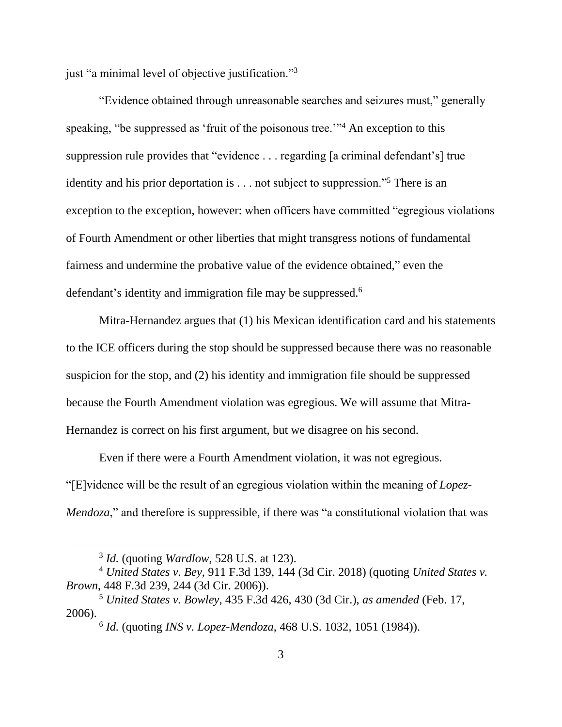just "a minimal level of objective justification."<sup>3</sup>

"Evidence obtained through unreasonable searches and seizures must," generally speaking, "be suppressed as 'fruit of the poisonous tree."<sup>4</sup> An exception to this suppression rule provides that "evidence . . . regarding [a criminal defendant's] true identity and his prior deportation is . . . not subject to suppression."<sup>5</sup> There is an exception to the exception, however: when officers have committed "egregious violations of Fourth Amendment or other liberties that might transgress notions of fundamental fairness and undermine the probative value of the evidence obtained," even the defendant's identity and immigration file may be suppressed.<sup>6</sup>

Mitra-Hernandez argues that (1) his Mexican identification card and his statements to the ICE officers during the stop should be suppressed because there was no reasonable suspicion for the stop, and (2) his identity and immigration file should be suppressed because the Fourth Amendment violation was egregious. We will assume that Mitra-Hernandez is correct on his first argument, but we disagree on his second.

Even if there were a Fourth Amendment violation, it was not egregious. "[E]vidence will be the result of an egregious violation within the meaning of *Lopez-Mendoza*," and therefore is suppressible, if there was "a constitutional violation that was

<sup>3</sup> *Id.* (quoting *Wardlow*, 528 U.S. at 123).

<sup>4</sup> *United States v. Bey*, 911 F.3d 139, 144 (3d Cir. 2018) (quoting *United States v. Brown*, 448 F.3d 239, 244 (3d Cir. 2006)).

<sup>5</sup> *United States v. Bowley*, 435 F.3d 426, 430 (3d Cir.), *as amended* (Feb. 17, 2006).

<sup>6</sup> *Id.* (quoting *INS v. Lopez-Mendoza*, 468 U.S. 1032, 1051 (1984)).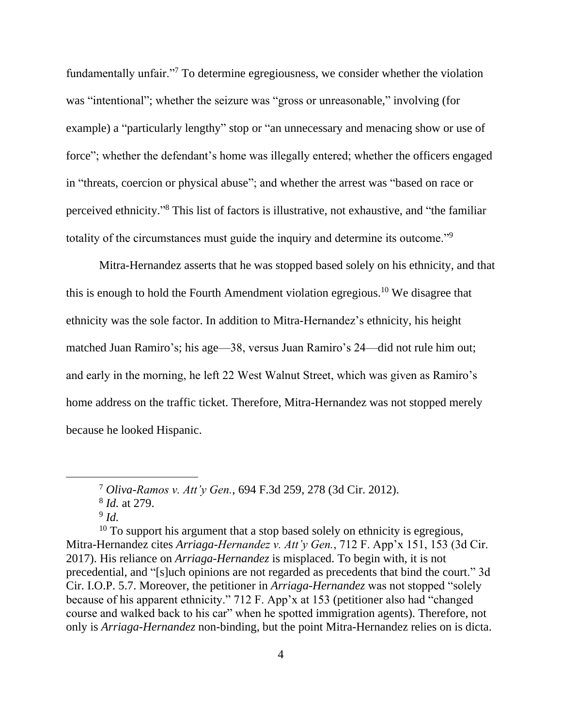fundamentally unfair."<sup>7</sup> To determine egregiousness, we consider whether the violation was "intentional"; whether the seizure was "gross or unreasonable," involving (for example) a "particularly lengthy" stop or "an unnecessary and menacing show or use of force"; whether the defendant's home was illegally entered; whether the officers engaged in "threats, coercion or physical abuse"; and whether the arrest was "based on race or perceived ethnicity." <sup>8</sup> This list of factors is illustrative, not exhaustive, and "the familiar totality of the circumstances must guide the inquiry and determine its outcome."<sup>9</sup>

Mitra-Hernandez asserts that he was stopped based solely on his ethnicity, and that this is enough to hold the Fourth Amendment violation egregious.<sup>10</sup> We disagree that ethnicity was the sole factor. In addition to Mitra-Hernandez's ethnicity, his height matched Juan Ramiro's; his age—38, versus Juan Ramiro's 24—did not rule him out; and early in the morning, he left 22 West Walnut Street, which was given as Ramiro's home address on the traffic ticket. Therefore, Mitra-Hernandez was not stopped merely because he looked Hispanic.

 $10$  To support his argument that a stop based solely on ethnicity is egregious, Mitra-Hernandez cites *Arriaga-Hernandez v. Att'y Gen.*, 712 F. App'x 151, 153 (3d Cir. 2017). His reliance on *Arriaga-Hernandez* is misplaced. To begin with, it is not precedential, and "[s]uch opinions are not regarded as precedents that bind the court." 3d Cir. I.O.P. 5.7. Moreover, the petitioner in *Arriaga-Hernandez* was not stopped "solely because of his apparent ethnicity." 712 F. App'x at 153 (petitioner also had "changed course and walked back to his car" when he spotted immigration agents). Therefore, not only is *Arriaga-Hernandez* non-binding, but the point Mitra-Hernandez relies on is dicta.

<sup>7</sup> *Oliva-Ramos v. Att'y Gen.*, 694 F.3d 259, 278 (3d Cir. 2012).

<sup>8</sup> *Id.* at 279.

<sup>9</sup> *Id.*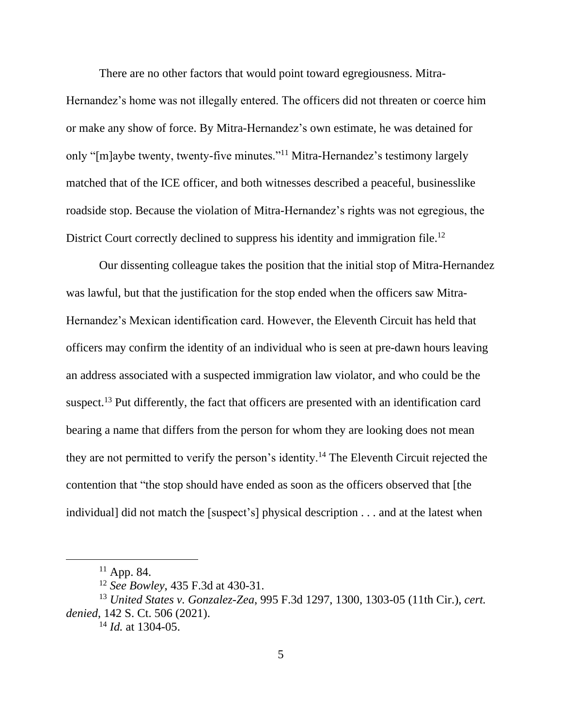There are no other factors that would point toward egregiousness. Mitra-Hernandez's home was not illegally entered. The officers did not threaten or coerce him or make any show of force. By Mitra-Hernandez's own estimate, he was detained for only "[m]aybe twenty, twenty-five minutes."<sup>11</sup> Mitra-Hernandez's testimony largely matched that of the ICE officer, and both witnesses described a peaceful, businesslike roadside stop. Because the violation of Mitra-Hernandez's rights was not egregious, the District Court correctly declined to suppress his identity and immigration file.<sup>12</sup>

Our dissenting colleague takes the position that the initial stop of Mitra-Hernandez was lawful, but that the justification for the stop ended when the officers saw Mitra-Hernandez's Mexican identification card. However, the Eleventh Circuit has held that officers may confirm the identity of an individual who is seen at pre-dawn hours leaving an address associated with a suspected immigration law violator, and who could be the suspect.<sup>13</sup> Put differently, the fact that officers are presented with an identification card bearing a name that differs from the person for whom they are looking does not mean they are not permitted to verify the person's identity.<sup>14</sup> The Eleventh Circuit rejected the contention that "the stop should have ended as soon as the officers observed that [the individual] did not match the [suspect's] physical description . . . and at the latest when

<sup>&</sup>lt;sup>11</sup> App. 84.

<sup>12</sup> *See Bowley*, 435 F.3d at 430-31.

<sup>13</sup> *United States v. Gonzalez-Zea*, 995 F.3d 1297, 1300, 1303-05 (11th Cir.), *cert. denied*, 142 S. Ct. 506 (2021).

<sup>14</sup> *Id.* at 1304-05.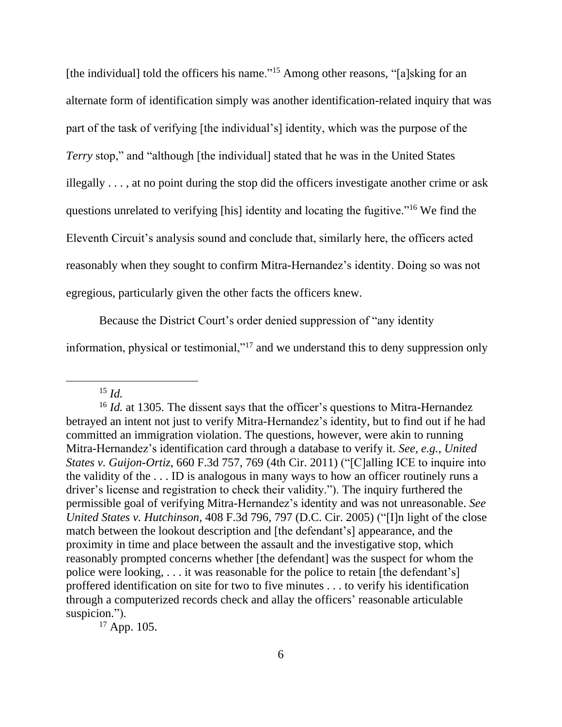[the individual] told the officers his name."<sup>15</sup> Among other reasons, "[a]sking for an alternate form of identification simply was another identification-related inquiry that was part of the task of verifying [the individual's] identity, which was the purpose of the *Terry* stop," and "although [the individual] stated that he was in the United States illegally . . . , at no point during the stop did the officers investigate another crime or ask questions unrelated to verifying [his] identity and locating the fugitive."<sup>16</sup> We find the Eleventh Circuit's analysis sound and conclude that, similarly here, the officers acted reasonably when they sought to confirm Mitra-Hernandez's identity. Doing so was not egregious, particularly given the other facts the officers knew.

Because the District Court's order denied suppression of "any identity

information, physical or testimonial,"<sup>17</sup> and we understand this to deny suppression only

 $17$  App. 105.

<sup>15</sup> *Id.*

<sup>&</sup>lt;sup>16</sup> *Id.* at 1305. The dissent says that the officer's questions to Mitra-Hernandez betrayed an intent not just to verify Mitra-Hernandez's identity, but to find out if he had committed an immigration violation. The questions, however, were akin to running Mitra-Hernandez's identification card through a database to verify it. *See, e.g.*, *United States v. Guijon-Ortiz*, 660 F.3d 757, 769 (4th Cir. 2011) ("[C]alling ICE to inquire into the validity of the . . . ID is analogous in many ways to how an officer routinely runs a driver's license and registration to check their validity."). The inquiry furthered the permissible goal of verifying Mitra-Hernandez's identity and was not unreasonable. *See United States v. Hutchinson*, 408 F.3d 796, 797 (D.C. Cir. 2005) ("[I]n light of the close match between the lookout description and [the defendant's] appearance, and the proximity in time and place between the assault and the investigative stop, which reasonably prompted concerns whether [the defendant] was the suspect for whom the police were looking, . . . it was reasonable for the police to retain [the defendant's] proffered identification on site for two to five minutes . . . to verify his identification through a computerized records check and allay the officers' reasonable articulable suspicion.").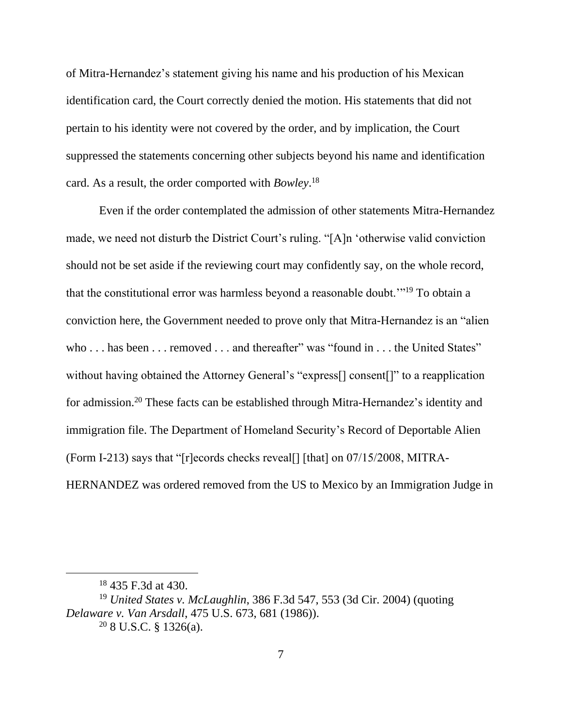of Mitra-Hernandez's statement giving his name and his production of his Mexican identification card, the Court correctly denied the motion. His statements that did not pertain to his identity were not covered by the order, and by implication, the Court suppressed the statements concerning other subjects beyond his name and identification card. As a result, the order comported with *Bowley*. 18

Even if the order contemplated the admission of other statements Mitra-Hernandez made, we need not disturb the District Court's ruling. "[A]n 'otherwise valid conviction should not be set aside if the reviewing court may confidently say, on the whole record, that the constitutional error was harmless beyond a reasonable doubt."<sup>19</sup> To obtain a conviction here, the Government needed to prove only that Mitra-Hernandez is an "alien who . . . has been . . . removed . . . and thereafter" was "found in . . . the United States" without having obtained the Attorney General's "express[] consent[]" to a reapplication for admission.<sup>20</sup> These facts can be established through Mitra-Hernandez's identity and immigration file. The Department of Homeland Security's Record of Deportable Alien (Form I-213) says that "[r]ecords checks reveal[] [that] on 07/15/2008, MITRA-HERNANDEZ was ordered removed from the US to Mexico by an Immigration Judge in

<sup>18</sup> 435 F.3d at 430.

<sup>19</sup> *United States v. McLaughlin*, 386 F.3d 547, 553 (3d Cir. 2004) (quoting *Delaware v. Van Arsdall*, 475 U.S. 673, 681 (1986)).  $208$  U.S.C. § 1326(a).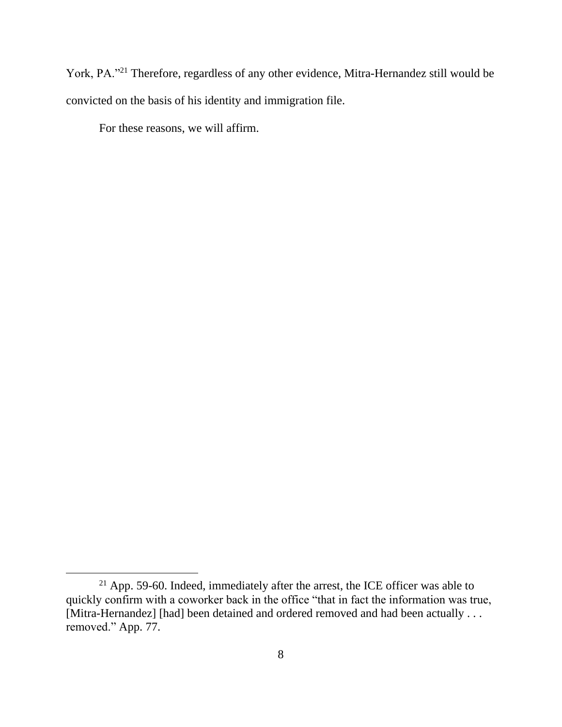York, PA."<sup>21</sup> Therefore, regardless of any other evidence, Mitra-Hernandez still would be convicted on the basis of his identity and immigration file.

For these reasons, we will affirm.

<sup>&</sup>lt;sup>21</sup> App. 59-60. Indeed, immediately after the arrest, the ICE officer was able to quickly confirm with a coworker back in the office "that in fact the information was true, [Mitra-Hernandez] [had] been detained and ordered removed and had been actually . . . removed." App. 77.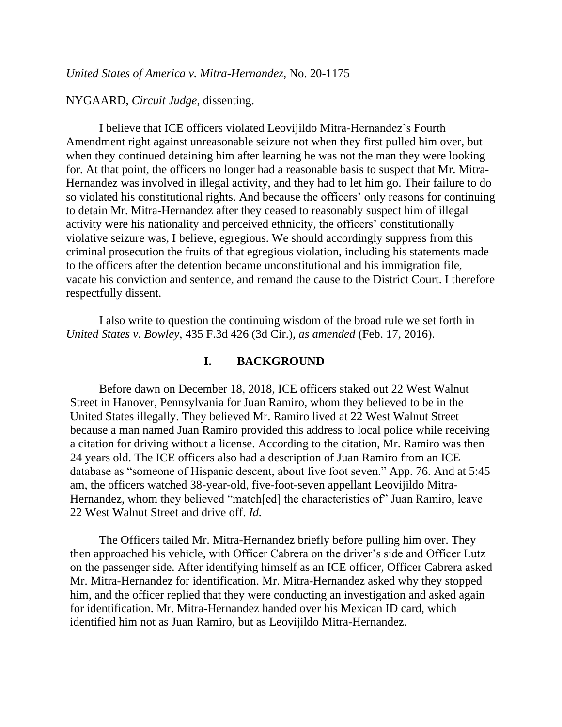#### NYGAARD, *Circuit Judge*, dissenting.

I believe that ICE officers violated Leovijildo Mitra-Hernandez's Fourth Amendment right against unreasonable seizure not when they first pulled him over, but when they continued detaining him after learning he was not the man they were looking for. At that point, the officers no longer had a reasonable basis to suspect that Mr. Mitra-Hernandez was involved in illegal activity, and they had to let him go. Their failure to do so violated his constitutional rights. And because the officers' only reasons for continuing to detain Mr. Mitra-Hernandez after they ceased to reasonably suspect him of illegal activity were his nationality and perceived ethnicity, the officers' constitutionally violative seizure was, I believe, egregious. We should accordingly suppress from this criminal prosecution the fruits of that egregious violation, including his statements made to the officers after the detention became unconstitutional and his immigration file, vacate his conviction and sentence, and remand the cause to the District Court. I therefore respectfully dissent.

I also write to question the continuing wisdom of the broad rule we set forth in *United States v. Bowley*, 435 F.3d 426 (3d Cir.), *as amended* (Feb. 17, 2016).

#### **I. BACKGROUND**

Before dawn on December 18, 2018, ICE officers staked out 22 West Walnut Street in Hanover, Pennsylvania for Juan Ramiro, whom they believed to be in the United States illegally. They believed Mr. Ramiro lived at 22 West Walnut Street because a man named Juan Ramiro provided this address to local police while receiving a citation for driving without a license. According to the citation, Mr. Ramiro was then 24 years old. The ICE officers also had a description of Juan Ramiro from an ICE database as "someone of Hispanic descent, about five foot seven." App. 76. And at 5:45 am, the officers watched 38-year-old, five-foot-seven appellant Leovijildo Mitra-Hernandez, whom they believed "match[ed] the characteristics of" Juan Ramiro, leave 22 West Walnut Street and drive off. *Id.*

The Officers tailed Mr. Mitra-Hernandez briefly before pulling him over. They then approached his vehicle, with Officer Cabrera on the driver's side and Officer Lutz on the passenger side. After identifying himself as an ICE officer, Officer Cabrera asked Mr. Mitra-Hernandez for identification. Mr. Mitra-Hernandez asked why they stopped him, and the officer replied that they were conducting an investigation and asked again for identification. Mr. Mitra-Hernandez handed over his Mexican ID card, which identified him not as Juan Ramiro, but as Leovijildo Mitra-Hernandez.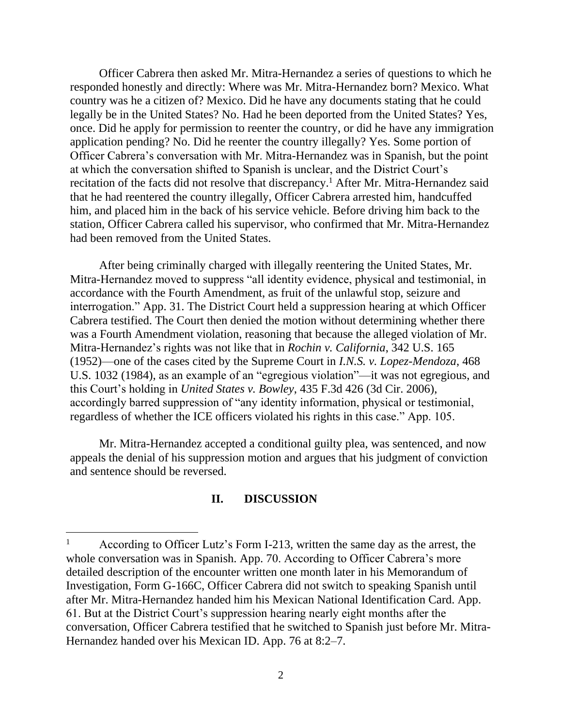Officer Cabrera then asked Mr. Mitra-Hernandez a series of questions to which he responded honestly and directly: Where was Mr. Mitra-Hernandez born? Mexico. What country was he a citizen of? Mexico. Did he have any documents stating that he could legally be in the United States? No. Had he been deported from the United States? Yes, once. Did he apply for permission to reenter the country, or did he have any immigration application pending? No. Did he reenter the country illegally? Yes. Some portion of Officer Cabrera's conversation with Mr. Mitra-Hernandez was in Spanish, but the point at which the conversation shifted to Spanish is unclear, and the District Court's recitation of the facts did not resolve that discrepancy.<sup>1</sup> After Mr. Mitra-Hernandez said that he had reentered the country illegally, Officer Cabrera arrested him, handcuffed him, and placed him in the back of his service vehicle. Before driving him back to the station, Officer Cabrera called his supervisor, who confirmed that Mr. Mitra-Hernandez had been removed from the United States.

After being criminally charged with illegally reentering the United States, Mr. Mitra-Hernandez moved to suppress "all identity evidence, physical and testimonial, in accordance with the Fourth Amendment, as fruit of the unlawful stop, seizure and interrogation." App. 31. The District Court held a suppression hearing at which Officer Cabrera testified. The Court then denied the motion without determining whether there was a Fourth Amendment violation, reasoning that because the alleged violation of Mr. Mitra-Hernandez's rights was not like that in *Rochin v. California*, 342 U.S. 165 (1952)—one of the cases cited by the Supreme Court in *I.N.S. v. Lopez-Mendoza*, 468 U.S. 1032 (1984), as an example of an "egregious violation"—it was not egregious, and this Court's holding in *United States v. Bowley*, 435 F.3d 426 (3d Cir. 2006), accordingly barred suppression of "any identity information, physical or testimonial, regardless of whether the ICE officers violated his rights in this case." App. 105.

Mr. Mitra-Hernandez accepted a conditional guilty plea, was sentenced, and now appeals the denial of his suppression motion and argues that his judgment of conviction and sentence should be reversed.

# **II. DISCUSSION**

According to Officer Lutz's Form I-213, written the same day as the arrest, the whole conversation was in Spanish. App. 70. According to Officer Cabrera's more detailed description of the encounter written one month later in his Memorandum of Investigation, Form G-166C, Officer Cabrera did not switch to speaking Spanish until after Mr. Mitra-Hernandez handed him his Mexican National Identification Card. App. 61. But at the District Court's suppression hearing nearly eight months after the conversation, Officer Cabrera testified that he switched to Spanish just before Mr. Mitra-Hernandez handed over his Mexican ID. App. 76 at 8:2–7.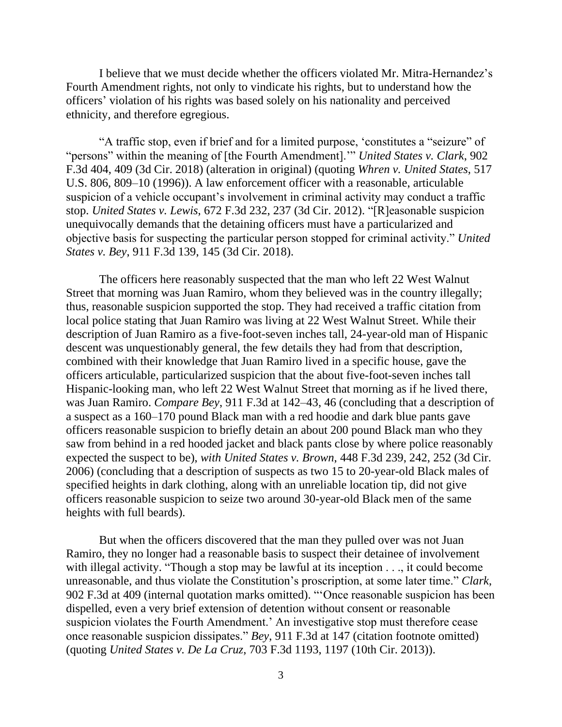I believe that we must decide whether the officers violated Mr. Mitra-Hernandez's Fourth Amendment rights, not only to vindicate his rights, but to understand how the officers' violation of his rights was based solely on his nationality and perceived ethnicity, and therefore egregious.

"A traffic stop, even if brief and for a limited purpose, 'constitutes a "seizure" of "persons" within the meaning of [the Fourth Amendment].'" *United States v. Clark*, 902 F.3d 404, 409 (3d Cir. 2018) (alteration in original) (quoting *Whren v. United States*, 517 U.S. 806, 809–10 (1996)). A law enforcement officer with a reasonable, articulable suspicion of a vehicle occupant's involvement in criminal activity may conduct a traffic stop. *United States v. Lewis*, 672 F.3d 232, 237 (3d Cir. 2012). "[R]easonable suspicion unequivocally demands that the detaining officers must have a particularized and objective basis for suspecting the particular person stopped for criminal activity." *United States v. Bey*, 911 F.3d 139, 145 (3d Cir. 2018).

The officers here reasonably suspected that the man who left 22 West Walnut Street that morning was Juan Ramiro, whom they believed was in the country illegally; thus, reasonable suspicion supported the stop. They had received a traffic citation from local police stating that Juan Ramiro was living at 22 West Walnut Street. While their description of Juan Ramiro as a five-foot-seven inches tall, 24-year-old man of Hispanic descent was unquestionably general, the few details they had from that description, combined with their knowledge that Juan Ramiro lived in a specific house, gave the officers articulable, particularized suspicion that the about five-foot-seven inches tall Hispanic-looking man, who left 22 West Walnut Street that morning as if he lived there, was Juan Ramiro. *Compare Bey*, 911 F.3d at 142–43, 46 (concluding that a description of a suspect as a 160–170 pound Black man with a red hoodie and dark blue pants gave officers reasonable suspicion to briefly detain an about 200 pound Black man who they saw from behind in a red hooded jacket and black pants close by where police reasonably expected the suspect to be), *with United States v. Brown*, 448 F.3d 239, 242, 252 (3d Cir. 2006) (concluding that a description of suspects as two 15 to 20-year-old Black males of specified heights in dark clothing, along with an unreliable location tip, did not give officers reasonable suspicion to seize two around 30-year-old Black men of the same heights with full beards).

But when the officers discovered that the man they pulled over was not Juan Ramiro, they no longer had a reasonable basis to suspect their detainee of involvement with illegal activity. "Though a stop may be lawful at its inception . . ., it could become unreasonable, and thus violate the Constitution's proscription, at some later time." *Clark*, 902 F.3d at 409 (internal quotation marks omitted). "'Once reasonable suspicion has been dispelled, even a very brief extension of detention without consent or reasonable suspicion violates the Fourth Amendment.' An investigative stop must therefore cease once reasonable suspicion dissipates." *Bey*, 911 F.3d at 147 (citation footnote omitted) (quoting *United States v. De La Cruz*, 703 F.3d 1193, 1197 (10th Cir. 2013)).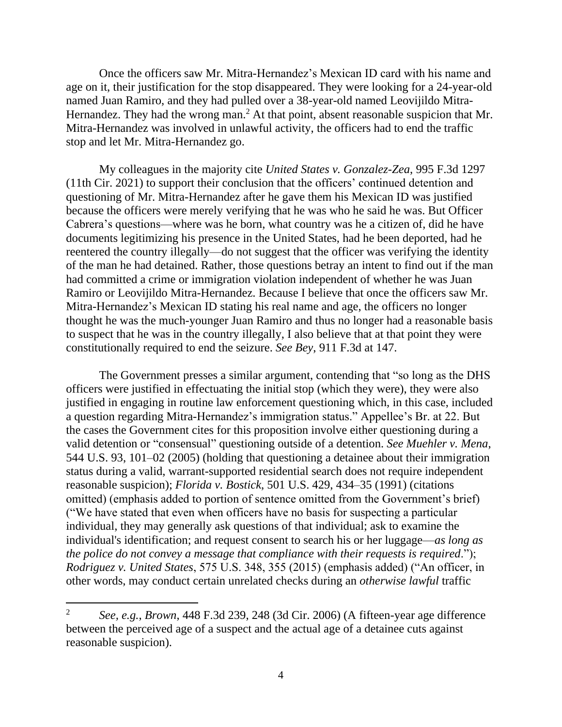Once the officers saw Mr. Mitra-Hernandez's Mexican ID card with his name and age on it, their justification for the stop disappeared. They were looking for a 24-year-old named Juan Ramiro, and they had pulled over a 38-year-old named Leovijildo Mitra-Hernandez. They had the wrong man.<sup>2</sup> At that point, absent reasonable suspicion that Mr. Mitra-Hernandez was involved in unlawful activity, the officers had to end the traffic stop and let Mr. Mitra-Hernandez go.

My colleagues in the majority cite *United States v. Gonzalez-Zea*, 995 F.3d 1297 (11th Cir. 2021) to support their conclusion that the officers' continued detention and questioning of Mr. Mitra-Hernandez after he gave them his Mexican ID was justified because the officers were merely verifying that he was who he said he was. But Officer Cabrera's questions—where was he born, what country was he a citizen of, did he have documents legitimizing his presence in the United States, had he been deported, had he reentered the country illegally—do not suggest that the officer was verifying the identity of the man he had detained. Rather, those questions betray an intent to find out if the man had committed a crime or immigration violation independent of whether he was Juan Ramiro or Leovijildo Mitra-Hernandez. Because I believe that once the officers saw Mr. Mitra-Hernandez's Mexican ID stating his real name and age, the officers no longer thought he was the much-younger Juan Ramiro and thus no longer had a reasonable basis to suspect that he was in the country illegally, I also believe that at that point they were constitutionally required to end the seizure. *See Bey*, 911 F.3d at 147.

The Government presses a similar argument, contending that "so long as the DHS officers were justified in effectuating the initial stop (which they were), they were also justified in engaging in routine law enforcement questioning which, in this case, included a question regarding Mitra-Hernandez's immigration status." Appellee's Br. at 22. But the cases the Government cites for this proposition involve either questioning during a valid detention or "consensual" questioning outside of a detention. *See Muehler v. Mena*, 544 U.S. 93, 101–02 (2005) (holding that questioning a detainee about their immigration status during a valid, warrant-supported residential search does not require independent reasonable suspicion); *Florida v. Bostick*, 501 U.S. 429, 434–35 (1991) (citations omitted) (emphasis added to portion of sentence omitted from the Government's brief) ("We have stated that even when officers have no basis for suspecting a particular individual, they may generally ask questions of that individual; ask to examine the individual's identification; and request consent to search his or her luggage—*as long as the police do not convey a message that compliance with their requests is required*."); *Rodriguez v. United States*, 575 U.S. 348, 355 (2015) (emphasis added) ("An officer, in other words, may conduct certain unrelated checks during an *otherwise lawful* traffic

<sup>2</sup> *See, e.g.*, *Brown*, 448 F.3d 239, 248 (3d Cir. 2006) (A fifteen-year age difference between the perceived age of a suspect and the actual age of a detainee cuts against reasonable suspicion).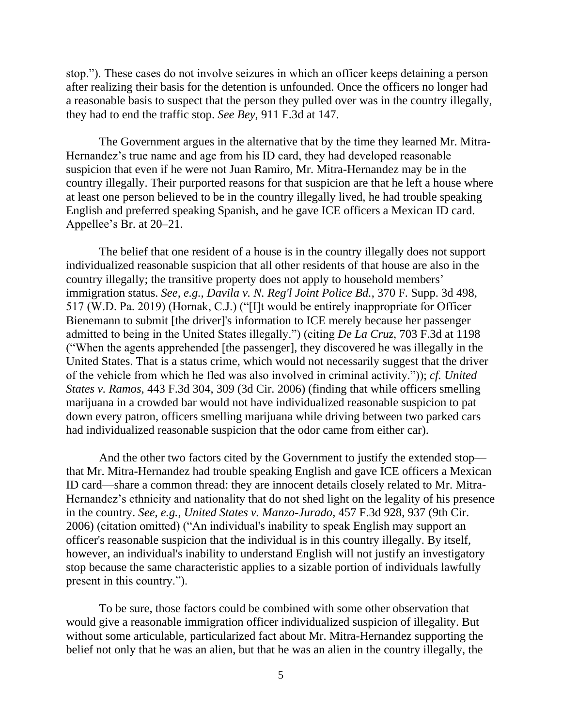stop."). These cases do not involve seizures in which an officer keeps detaining a person after realizing their basis for the detention is unfounded. Once the officers no longer had a reasonable basis to suspect that the person they pulled over was in the country illegally, they had to end the traffic stop. *See Bey*, 911 F.3d at 147.

The Government argues in the alternative that by the time they learned Mr. Mitra-Hernandez's true name and age from his ID card, they had developed reasonable suspicion that even if he were not Juan Ramiro, Mr. Mitra-Hernandez may be in the country illegally. Their purported reasons for that suspicion are that he left a house where at least one person believed to be in the country illegally lived, he had trouble speaking English and preferred speaking Spanish, and he gave ICE officers a Mexican ID card. Appellee's Br. at 20–21.

The belief that one resident of a house is in the country illegally does not support individualized reasonable suspicion that all other residents of that house are also in the country illegally; the transitive property does not apply to household members' immigration status. *See, e.g.*, *Davila v. N. Reg'l Joint Police Bd.*, 370 F. Supp. 3d 498, 517 (W.D. Pa. 2019) (Hornak, C.J.) ("[I]t would be entirely inappropriate for Officer Bienemann to submit [the driver]'s information to ICE merely because her passenger admitted to being in the United States illegally.") (citing *De La Cruz*, 703 F.3d at 1198 ("When the agents apprehended [the passenger], they discovered he was illegally in the United States. That is a status crime, which would not necessarily suggest that the driver of the vehicle from which he fled was also involved in criminal activity.")); *cf. United States v. Ramos*, 443 F.3d 304, 309 (3d Cir. 2006) (finding that while officers smelling marijuana in a crowded bar would not have individualized reasonable suspicion to pat down every patron, officers smelling marijuana while driving between two parked cars had individualized reasonable suspicion that the odor came from either car).

And the other two factors cited by the Government to justify the extended stop that Mr. Mitra-Hernandez had trouble speaking English and gave ICE officers a Mexican ID card—share a common thread: they are innocent details closely related to Mr. Mitra-Hernandez's ethnicity and nationality that do not shed light on the legality of his presence in the country. *See, e.g.*, *United States v. Manzo-Jurado*, 457 F.3d 928, 937 (9th Cir. 2006) (citation omitted) ("An individual's inability to speak English may support an officer's reasonable suspicion that the individual is in this country illegally. By itself, however, an individual's inability to understand English will not justify an investigatory stop because the same characteristic applies to a sizable portion of individuals lawfully present in this country.").

To be sure, those factors could be combined with some other observation that would give a reasonable immigration officer individualized suspicion of illegality. But without some articulable, particularized fact about Mr. Mitra-Hernandez supporting the belief not only that he was an alien, but that he was an alien in the country illegally, the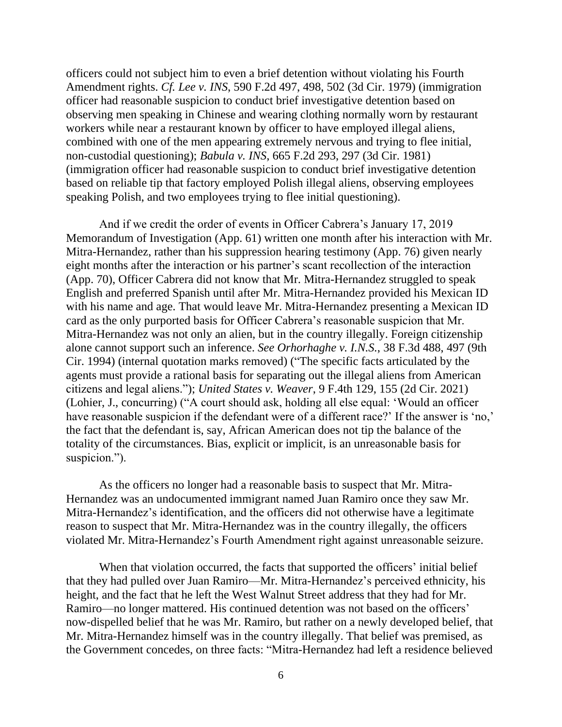officers could not subject him to even a brief detention without violating his Fourth Amendment rights. *Cf. Lee v. INS*, 590 F.2d 497, 498, 502 (3d Cir. 1979) (immigration officer had reasonable suspicion to conduct brief investigative detention based on observing men speaking in Chinese and wearing clothing normally worn by restaurant workers while near a restaurant known by officer to have employed illegal aliens, combined with one of the men appearing extremely nervous and trying to flee initial, non-custodial questioning); *Babula v. INS*, 665 F.2d 293, 297 (3d Cir. 1981) (immigration officer had reasonable suspicion to conduct brief investigative detention based on reliable tip that factory employed Polish illegal aliens, observing employees speaking Polish, and two employees trying to flee initial questioning).

And if we credit the order of events in Officer Cabrera's January 17, 2019 Memorandum of Investigation (App. 61) written one month after his interaction with Mr. Mitra-Hernandez, rather than his suppression hearing testimony (App. 76) given nearly eight months after the interaction or his partner's scant recollection of the interaction (App. 70), Officer Cabrera did not know that Mr. Mitra-Hernandez struggled to speak English and preferred Spanish until after Mr. Mitra-Hernandez provided his Mexican ID with his name and age. That would leave Mr. Mitra-Hernandez presenting a Mexican ID card as the only purported basis for Officer Cabrera's reasonable suspicion that Mr. Mitra-Hernandez was not only an alien, but in the country illegally. Foreign citizenship alone cannot support such an inference. *See Orhorhaghe v. I.N.S.*, 38 F.3d 488, 497 (9th Cir. 1994) (internal quotation marks removed) ("The specific facts articulated by the agents must provide a rational basis for separating out the illegal aliens from American citizens and legal aliens."); *United States v. Weaver*, 9 F.4th 129, 155 (2d Cir. 2021) (Lohier, J., concurring) ("A court should ask, holding all else equal: 'Would an officer have reasonable suspicion if the defendant were of a different race?' If the answer is 'no,' the fact that the defendant is, say, African American does not tip the balance of the totality of the circumstances. Bias, explicit or implicit, is an unreasonable basis for suspicion.").

As the officers no longer had a reasonable basis to suspect that Mr. Mitra-Hernandez was an undocumented immigrant named Juan Ramiro once they saw Mr. Mitra-Hernandez's identification, and the officers did not otherwise have a legitimate reason to suspect that Mr. Mitra-Hernandez was in the country illegally, the officers violated Mr. Mitra-Hernandez's Fourth Amendment right against unreasonable seizure.

When that violation occurred, the facts that supported the officers' initial belief that they had pulled over Juan Ramiro—Mr. Mitra-Hernandez's perceived ethnicity, his height, and the fact that he left the West Walnut Street address that they had for Mr. Ramiro—no longer mattered. His continued detention was not based on the officers' now-dispelled belief that he was Mr. Ramiro, but rather on a newly developed belief, that Mr. Mitra-Hernandez himself was in the country illegally. That belief was premised, as the Government concedes, on three facts: "Mitra-Hernandez had left a residence believed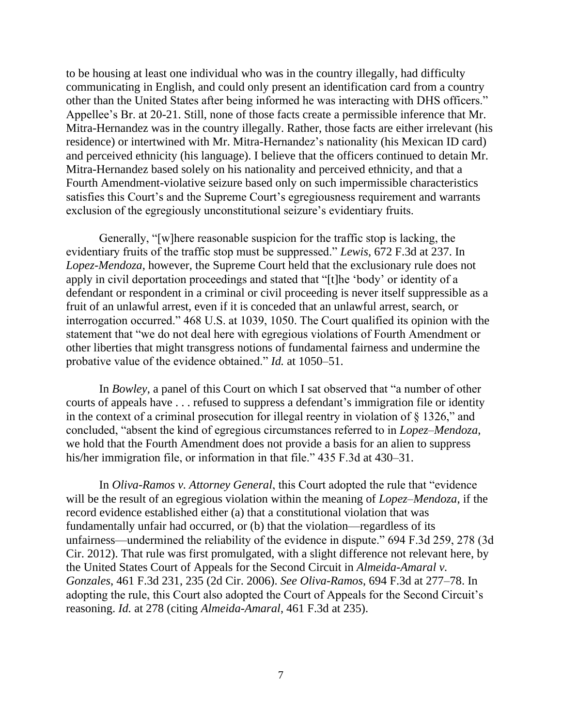to be housing at least one individual who was in the country illegally, had difficulty communicating in English, and could only present an identification card from a country other than the United States after being informed he was interacting with DHS officers." Appellee's Br. at 20-21. Still, none of those facts create a permissible inference that Mr. Mitra-Hernandez was in the country illegally. Rather, those facts are either irrelevant (his residence) or intertwined with Mr. Mitra-Hernandez's nationality (his Mexican ID card) and perceived ethnicity (his language). I believe that the officers continued to detain Mr. Mitra-Hernandez based solely on his nationality and perceived ethnicity, and that a Fourth Amendment-violative seizure based only on such impermissible characteristics satisfies this Court's and the Supreme Court's egregiousness requirement and warrants exclusion of the egregiously unconstitutional seizure's evidentiary fruits.

Generally, "[w]here reasonable suspicion for the traffic stop is lacking, the evidentiary fruits of the traffic stop must be suppressed." *Lewis*, 672 F.3d at 237. In *Lopez-Mendoza*, however, the Supreme Court held that the exclusionary rule does not apply in civil deportation proceedings and stated that "[t]he 'body' or identity of a defendant or respondent in a criminal or civil proceeding is never itself suppressible as a fruit of an unlawful arrest, even if it is conceded that an unlawful arrest, search, or interrogation occurred." 468 U.S. at 1039, 1050. The Court qualified its opinion with the statement that "we do not deal here with egregious violations of Fourth Amendment or other liberties that might transgress notions of fundamental fairness and undermine the probative value of the evidence obtained." *Id.* at 1050–51.

In *Bowley*, a panel of this Court on which I sat observed that "a number of other courts of appeals have . . . refused to suppress a defendant's immigration file or identity in the context of a criminal prosecution for illegal reentry in violation of § 1326," and concluded, "absent the kind of egregious circumstances referred to in *Lopez–Mendoza*, we hold that the Fourth Amendment does not provide a basis for an alien to suppress his/her immigration file, or information in that file." 435 F.3d at 430–31.

In *Oliva-Ramos v. Attorney General*, this Court adopted the rule that "evidence will be the result of an egregious violation within the meaning of *Lopez–Mendoza*, if the record evidence established either (a) that a constitutional violation that was fundamentally unfair had occurred, or (b) that the violation—regardless of its unfairness—undermined the reliability of the evidence in dispute." 694 F.3d 259, 278 (3d Cir. 2012). That rule was first promulgated, with a slight difference not relevant here, by the United States Court of Appeals for the Second Circuit in *Almeida-Amaral v. Gonzales*, 461 F.3d 231, 235 (2d Cir. 2006). *See Oliva-Ramos*, 694 F.3d at 277–78. In adopting the rule, this Court also adopted the Court of Appeals for the Second Circuit's reasoning. *Id.* at 278 (citing *Almeida-Amaral*, 461 F.3d at 235).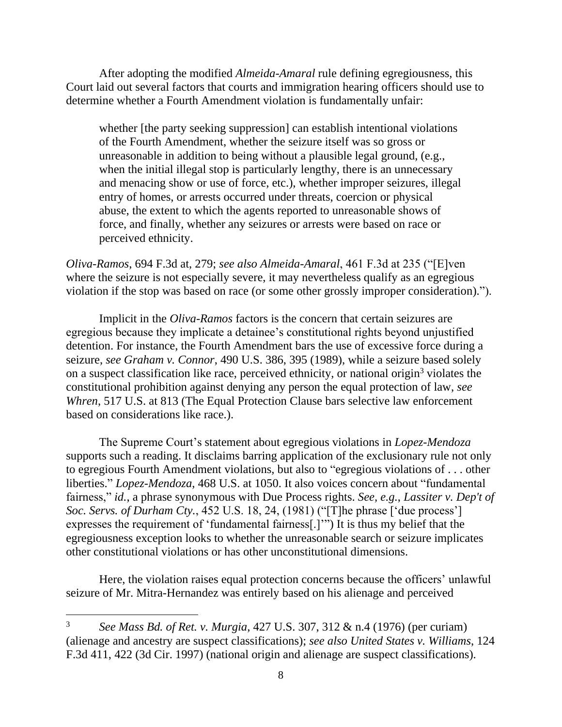After adopting the modified *Almeida-Amaral* rule defining egregiousness, this Court laid out several factors that courts and immigration hearing officers should use to determine whether a Fourth Amendment violation is fundamentally unfair:

whether [the party seeking suppression] can establish intentional violations of the Fourth Amendment, whether the seizure itself was so gross or unreasonable in addition to being without a plausible legal ground, (e.g., when the initial illegal stop is particularly lengthy, there is an unnecessary and menacing show or use of force, etc.), whether improper seizures, illegal entry of homes, or arrests occurred under threats, coercion or physical abuse, the extent to which the agents reported to unreasonable shows of force, and finally, whether any seizures or arrests were based on race or perceived ethnicity.

*Oliva-Ramos*, 694 F.3d at, 279; *see also Almeida-Amaral*, 461 F.3d at 235 ("[E]ven where the seizure is not especially severe, it may nevertheless qualify as an egregious violation if the stop was based on race (or some other grossly improper consideration).").

Implicit in the *Oliva-Ramos* factors is the concern that certain seizures are egregious because they implicate a detainee's constitutional rights beyond unjustified detention. For instance, the Fourth Amendment bars the use of excessive force during a seizure, *see Graham v. Connor*, 490 U.S. 386, 395 (1989), while a seizure based solely on a suspect classification like race, perceived ethnicity, or national origin<sup>3</sup> violates the constitutional prohibition against denying any person the equal protection of law, *see Whren*, 517 U.S. at 813 (The Equal Protection Clause bars selective law enforcement based on considerations like race.).

The Supreme Court's statement about egregious violations in *Lopez-Mendoza* supports such a reading. It disclaims barring application of the exclusionary rule not only to egregious Fourth Amendment violations, but also to "egregious violations of . . . other liberties." *Lopez-Mendoza*, 468 U.S. at 1050. It also voices concern about "fundamental fairness," *id.*, a phrase synonymous with Due Process rights. *See, e.g.*, *Lassiter v. Dep't of Soc. Servs. of Durham Cty.*, 452 U.S. 18, 24, (1981) ("[T]he phrase ['due process'] expresses the requirement of 'fundamental fairness[.]'") It is thus my belief that the egregiousness exception looks to whether the unreasonable search or seizure implicates other constitutional violations or has other unconstitutional dimensions.

Here, the violation raises equal protection concerns because the officers' unlawful seizure of Mr. Mitra-Hernandez was entirely based on his alienage and perceived

<sup>3</sup> *See Mass Bd. of Ret. v. Murgia*, 427 U.S. 307, 312 & n.4 (1976) (per curiam) (alienage and ancestry are suspect classifications); *see also United States v. Williams*, 124 F.3d 411, 422 (3d Cir. 1997) (national origin and alienage are suspect classifications).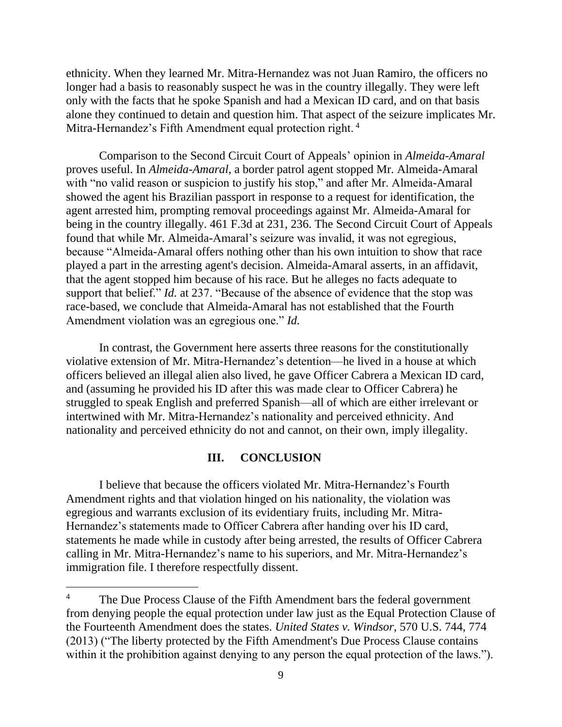ethnicity. When they learned Mr. Mitra-Hernandez was not Juan Ramiro, the officers no longer had a basis to reasonably suspect he was in the country illegally. They were left only with the facts that he spoke Spanish and had a Mexican ID card, and on that basis alone they continued to detain and question him. That aspect of the seizure implicates Mr. Mitra-Hernandez's Fifth Amendment equal protection right. <sup>4</sup>

Comparison to the Second Circuit Court of Appeals' opinion in *Almeida-Amaral* proves useful. In *Almeida-Amaral*, a border patrol agent stopped Mr. Almeida-Amaral with "no valid reason or suspicion to justify his stop," and after Mr. Almeida-Amaral showed the agent his Brazilian passport in response to a request for identification, the agent arrested him, prompting removal proceedings against Mr. Almeida-Amaral for being in the country illegally. 461 F.3d at 231, 236. The Second Circuit Court of Appeals found that while Mr. Almeida-Amaral's seizure was invalid, it was not egregious, because "Almeida-Amaral offers nothing other than his own intuition to show that race played a part in the arresting agent's decision. Almeida-Amaral asserts, in an affidavit, that the agent stopped him because of his race. But he alleges no facts adequate to support that belief." *Id.* at 237. "Because of the absence of evidence that the stop was race-based, we conclude that Almeida-Amaral has not established that the Fourth Amendment violation was an egregious one." *Id.*

In contrast, the Government here asserts three reasons for the constitutionally violative extension of Mr. Mitra-Hernandez's detention—he lived in a house at which officers believed an illegal alien also lived, he gave Officer Cabrera a Mexican ID card, and (assuming he provided his ID after this was made clear to Officer Cabrera) he struggled to speak English and preferred Spanish—all of which are either irrelevant or intertwined with Mr. Mitra-Hernandez's nationality and perceived ethnicity. And nationality and perceived ethnicity do not and cannot, on their own, imply illegality.

#### **III. CONCLUSION**

I believe that because the officers violated Mr. Mitra-Hernandez's Fourth Amendment rights and that violation hinged on his nationality, the violation was egregious and warrants exclusion of its evidentiary fruits, including Mr. Mitra-Hernandez's statements made to Officer Cabrera after handing over his ID card, statements he made while in custody after being arrested, the results of Officer Cabrera calling in Mr. Mitra-Hernandez's name to his superiors, and Mr. Mitra-Hernandez's immigration file. I therefore respectfully dissent.

<sup>&</sup>lt;sup>4</sup> The Due Process Clause of the Fifth Amendment bars the federal government from denying people the equal protection under law just as the Equal Protection Clause of the Fourteenth Amendment does the states. *United States v. Windsor*, 570 U.S. 744, 774 (2013) ("The liberty protected by the Fifth Amendment's Due Process Clause contains within it the prohibition against denying to any person the equal protection of the laws.").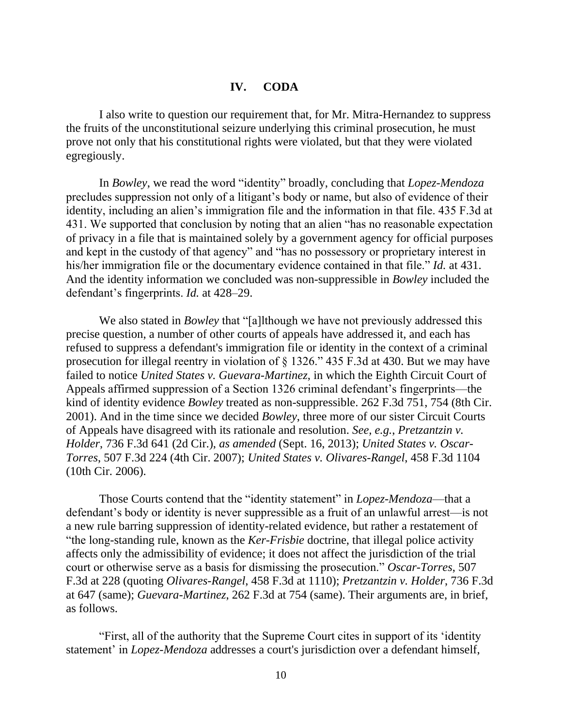# **IV. CODA**

I also write to question our requirement that, for Mr. Mitra-Hernandez to suppress the fruits of the unconstitutional seizure underlying this criminal prosecution, he must prove not only that his constitutional rights were violated, but that they were violated egregiously.

In *Bowley*, we read the word "identity" broadly, concluding that *Lopez-Mendoza* precludes suppression not only of a litigant's body or name, but also of evidence of their identity, including an alien's immigration file and the information in that file. 435 F.3d at 431. We supported that conclusion by noting that an alien "has no reasonable expectation of privacy in a file that is maintained solely by a government agency for official purposes and kept in the custody of that agency" and "has no possessory or proprietary interest in his/her immigration file or the documentary evidence contained in that file." *Id.* at 431. And the identity information we concluded was non-suppressible in *Bowley* included the defendant's fingerprints. *Id.* at 428–29.

We also stated in *Bowley* that "[a]lthough we have not previously addressed this precise question, a number of other courts of appeals have addressed it, and each has refused to suppress a defendant's immigration file or identity in the context of a criminal prosecution for illegal reentry in violation of § 1326." 435 F.3d at 430. But we may have failed to notice *United States v. Guevara-Martinez*, in which the Eighth Circuit Court of Appeals affirmed suppression of a Section 1326 criminal defendant's fingerprints—the kind of identity evidence *Bowley* treated as non-suppressible. 262 F.3d 751, 754 (8th Cir. 2001). And in the time since we decided *Bowley*, three more of our sister Circuit Courts of Appeals have disagreed with its rationale and resolution. *See, e.g.*, *Pretzantzin v. Holder*, 736 F.3d 641 (2d Cir.), *as amended* (Sept. 16, 2013); *United States v. Oscar-Torres*, 507 F.3d 224 (4th Cir. 2007); *United States v. Olivares-Rangel*, 458 F.3d 1104 (10th Cir. 2006).

Those Courts contend that the "identity statement" in *Lopez-Mendoza*—that a defendant's body or identity is never suppressible as a fruit of an unlawful arrest—is not a new rule barring suppression of identity-related evidence, but rather a restatement of "the long-standing rule, known as the *Ker-Frisbie* doctrine, that illegal police activity affects only the admissibility of evidence; it does not affect the jurisdiction of the trial court or otherwise serve as a basis for dismissing the prosecution." *Oscar-Torres*, 507 F.3d at 228 (quoting *Olivares-Rangel*, 458 F.3d at 1110); *Pretzantzin v. Holder*, 736 F.3d at 647 (same); *Guevara-Martinez*, 262 F.3d at 754 (same). Their arguments are, in brief, as follows.

"First, all of the authority that the Supreme Court cites in support of its 'identity statement' in *Lopez-Mendoza* addresses a court's jurisdiction over a defendant himself,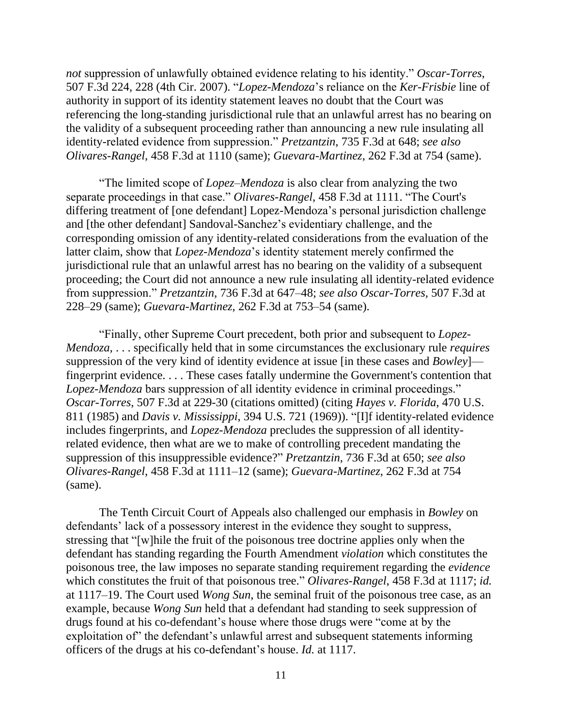*not* suppression of unlawfully obtained evidence relating to his identity." *Oscar-Torres*, 507 F.3d 224, 228 (4th Cir. 2007). "*Lopez-Mendoza*'s reliance on the *Ker*-*Frisbie* line of authority in support of its identity statement leaves no doubt that the Court was referencing the long-standing jurisdictional rule that an unlawful arrest has no bearing on the validity of a subsequent proceeding rather than announcing a new rule insulating all identity-related evidence from suppression." *Pretzantzin*, 735 F.3d at 648; *see also Olivares-Rangel*, 458 F.3d at 1110 (same); *Guevara-Martinez*, 262 F.3d at 754 (same).

"The limited scope of *Lopez–Mendoza* is also clear from analyzing the two separate proceedings in that case." *Olivares-Rangel*, 458 F.3d at 1111. "The Court's differing treatment of [one defendant] Lopez-Mendoza's personal jurisdiction challenge and [the other defendant] Sandoval-Sanchez's evidentiary challenge, and the corresponding omission of any identity-related considerations from the evaluation of the latter claim, show that *Lopez-Mendoza*'s identity statement merely confirmed the jurisdictional rule that an unlawful arrest has no bearing on the validity of a subsequent proceeding; the Court did not announce a new rule insulating all identity-related evidence from suppression." *Pretzantzin*, 736 F.3d at 647–48; *see also Oscar-Torres*, 507 F.3d at 228–29 (same); *Guevara-Martinez*, 262 F.3d at 753–54 (same).

"Finally, other Supreme Court precedent, both prior and subsequent to *Lopez-Mendoza,* . . . specifically held that in some circumstances the exclusionary rule *requires* suppression of the very kind of identity evidence at issue [in these cases and *Bowley*] fingerprint evidence. . . . These cases fatally undermine the Government's contention that *Lopez-Mendoza* bars suppression of all identity evidence in criminal proceedings." *Oscar-Torres*, 507 F.3d at 229-30 (citations omitted) (citing *Hayes v. Florida*, 470 U.S. 811 (1985) and *Davis v. Mississippi*, 394 U.S. 721 (1969)). "[I]f identity-related evidence includes fingerprints, and *Lopez-Mendoza* precludes the suppression of all identityrelated evidence, then what are we to make of controlling precedent mandating the suppression of this insuppressible evidence?" *Pretzantzin*, 736 F.3d at 650; *see also Olivares-Rangel*, 458 F.3d at 1111–12 (same); *Guevara-Martinez*, 262 F.3d at 754 (same).

The Tenth Circuit Court of Appeals also challenged our emphasis in *Bowley* on defendants' lack of a possessory interest in the evidence they sought to suppress, stressing that "[w]hile the fruit of the poisonous tree doctrine applies only when the defendant has standing regarding the Fourth Amendment *violation* which constitutes the poisonous tree, the law imposes no separate standing requirement regarding the *evidence* which constitutes the fruit of that poisonous tree." *Olivares-Rangel*, 458 F.3d at 1117; *id.* at 1117–19. The Court used *Wong Sun*, the seminal fruit of the poisonous tree case, as an example, because *Wong Sun* held that a defendant had standing to seek suppression of drugs found at his co-defendant's house where those drugs were "come at by the exploitation of" the defendant's unlawful arrest and subsequent statements informing officers of the drugs at his co-defendant's house. *Id.* at 1117.